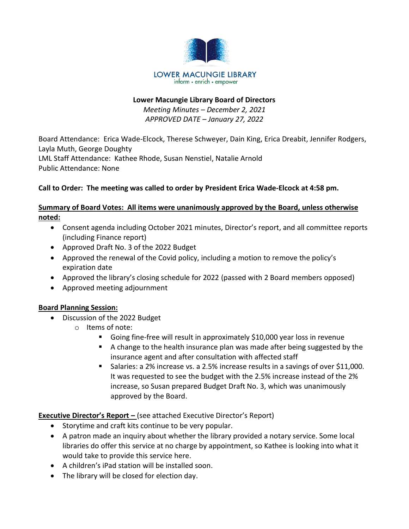

#### **Lower Macungie Library Board of Directors**

*Meeting Minutes – December 2, 2021 APPROVED DATE – January 27, 2022*

Board Attendance: Erica Wade-Elcock, Therese Schweyer, Dain King, Erica Dreabit, Jennifer Rodgers, Layla Muth, George Doughty LML Staff Attendance: Kathee Rhode, Susan Nenstiel, Natalie Arnold Public Attendance: None

## **Call to Order: The meeting was called to order by President Erica Wade-Elcock at 4:58 pm.**

## **Summary of Board Votes: All items were unanimously approved by the Board, unless otherwise noted:**

- Consent agenda including October 2021 minutes, Director's report, and all committee reports (including Finance report)
- Approved Draft No. 3 of the 2022 Budget
- Approved the renewal of the Covid policy, including a motion to remove the policy's expiration date
- Approved the library's closing schedule for 2022 (passed with 2 Board members opposed)
- Approved meeting adjournment

#### **Board Planning Session:**

- Discussion of the 2022 Budget
	- o Items of note:
		- Going fine-free will result in approximately \$10,000 year loss in revenue
		- A change to the health insurance plan was made after being suggested by the insurance agent and after consultation with affected staff
		- Salaries: a 2% increase vs. a 2.5% increase results in a savings of over \$11,000. It was requested to see the budget with the 2.5% increase instead of the 2% increase, so Susan prepared Budget Draft No. 3, which was unanimously approved by the Board.

**Executive Director's Report –** (see attached Executive Director's Report)

- Storytime and craft kits continue to be very popular.
- A patron made an inquiry about whether the library provided a notary service. Some local libraries do offer this service at no charge by appointment, so Kathee is looking into what it would take to provide this service here.
- A children's iPad station will be installed soon.
- The library will be closed for election day.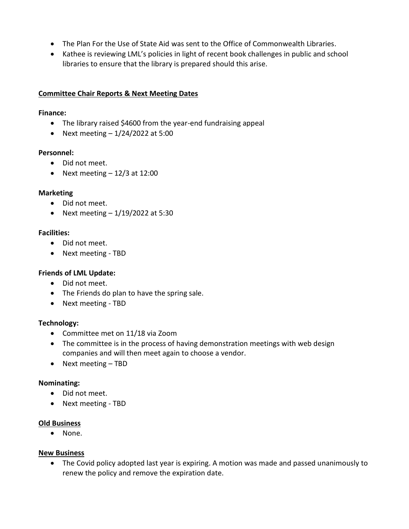- The Plan For the Use of State Aid was sent to the Office of Commonwealth Libraries.
- Kathee is reviewing LML's policies in light of recent book challenges in public and school libraries to ensure that the library is prepared should this arise.

#### **Committee Chair Reports & Next Meeting Dates**

#### **Finance:**

- The library raised \$4600 from the year-end fundraising appeal
- Next meeting  $-1/24/2022$  at 5:00

#### **Personnel:**

- Did not meet.
- Next meeting  $-12/3$  at 12:00

#### **Marketing**

- Did not meet.
- Next meeting  $-1/19/2022$  at 5:30

#### **Facilities:**

- Did not meet.
- Next meeting TBD

#### **Friends of LML Update:**

- Did not meet.
- The Friends do plan to have the spring sale.
- Next meeting TBD

#### **Technology:**

- Committee met on 11/18 via Zoom
- The committee is in the process of having demonstration meetings with web design companies and will then meet again to choose a vendor.
- Next meeting TBD

#### **Nominating:**

- Did not meet.
- Next meeting TBD

#### **Old Business**

• None.

#### **New Business**

• The Covid policy adopted last year is expiring. A motion was made and passed unanimously to renew the policy and remove the expiration date.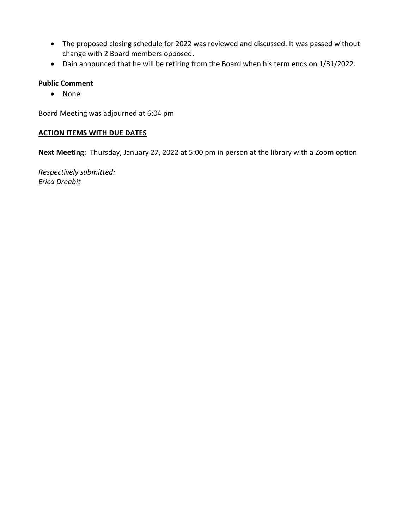- The proposed closing schedule for 2022 was reviewed and discussed. It was passed without change with 2 Board members opposed.
- Dain announced that he will be retiring from the Board when his term ends on 1/31/2022.

#### **Public Comment**

• None

Board Meeting was adjourned at 6:04 pm

#### **ACTION ITEMS WITH DUE DATES**

**Next Meeting:** Thursday, January 27, 2022 at 5:00 pm in person at the library with a Zoom option

*Respectively submitted: Erica Dreabit*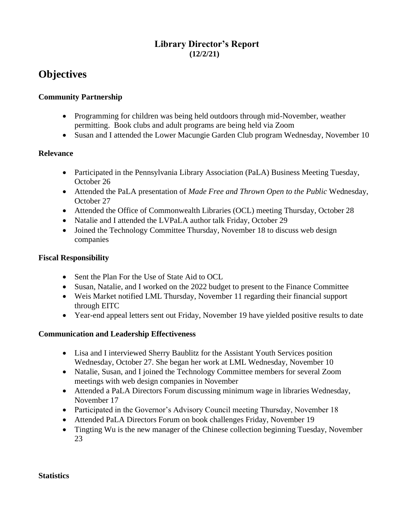# **Library Director's Report (12/2/21)**

# **Objectives**

#### **Community Partnership**

- Programming for children was being held outdoors through mid-November, weather permitting. Book clubs and adult programs are being held via Zoom
- Susan and I attended the Lower Macungie Garden Club program Wednesday, November 10

#### **Relevance**

- Participated in the Pennsylvania Library Association (PaLA) Business Meeting Tuesday, October 26
- Attended the PaLA presentation of *Made Free and Thrown Open to the Public* Wednesday, October 27
- Attended the Office of Commonwealth Libraries (OCL) meeting Thursday, October 28
- Natalie and I attended the LVPaLA author talk Friday, October 29
- Joined the Technology Committee Thursday, November 18 to discuss web design companies

#### **Fiscal Responsibility**

- Sent the Plan For the Use of State Aid to OCL
- Susan, Natalie, and I worked on the 2022 budget to present to the Finance Committee
- Weis Market notified LML Thursday, November 11 regarding their financial support through EITC
- Year-end appeal letters sent out Friday, November 19 have yielded positive results to date

#### **Communication and Leadership Effectiveness**

- Lisa and I interviewed Sherry Baublitz for the Assistant Youth Services position Wednesday, October 27. She began her work at LML Wednesday, November 10
- Natalie, Susan, and I joined the Technology Committee members for several Zoom meetings with web design companies in November
- Attended a PaLA Directors Forum discussing minimum wage in libraries Wednesday, November 17
- Participated in the Governor's Advisory Council meeting Thursday, November 18
- Attended PaLA Directors Forum on book challenges Friday, November 19
- Tingting Wu is the new manager of the Chinese collection beginning Tuesday, November 23

#### **Statistics**